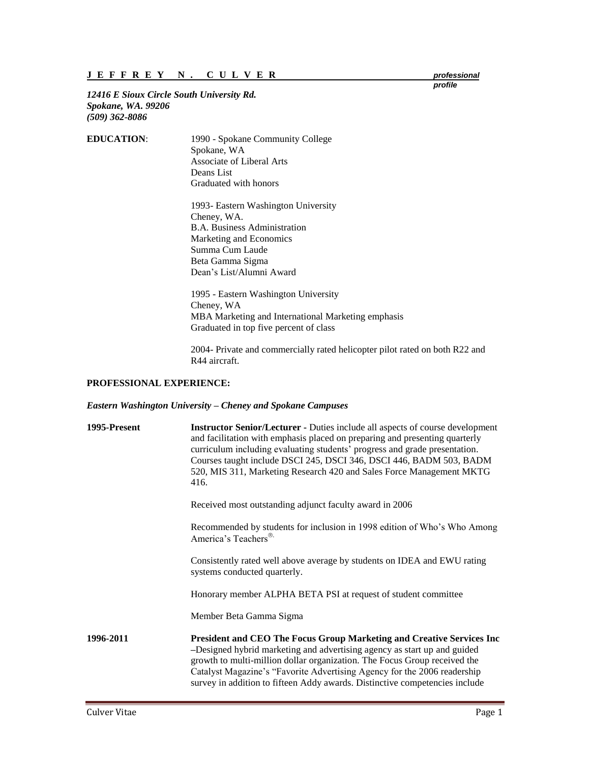*12416 E Sioux Circle South University Rd. Spokane, WA. 99206 (509) 362-8086*

| <b>EDUCATION:</b> | 1990 - Spokane Community College |
|-------------------|----------------------------------|
|                   | Spokane, WA                      |
|                   | Associate of Liberal Arts        |
|                   | Deans List                       |
|                   | Graduated with honors            |
|                   |                                  |

1993- Eastern Washington University Cheney, WA. B.A. Business Administration Marketing and Economics Summa Cum Laude Beta Gamma Sigma Dean's List/Alumni Award

1995 - Eastern Washington University Cheney, WA MBA Marketing and International Marketing emphasis Graduated in top five percent of class

2004- Private and commercially rated helicopter pilot rated on both R22 and R44 aircraft.

## **PROFESSIONAL EXPERIENCE:**

## *Eastern Washington University – Cheney and Spokane Campuses*

| 1995-Present | <b>Instructor Senior/Lecturer - Duties include all aspects of course development</b><br>and facilitation with emphasis placed on preparing and presenting quarterly<br>curriculum including evaluating students' progress and grade presentation.<br>Courses taught include DSCI 245, DSCI 346, DSCI 446, BADM 503, BADM<br>520, MIS 311, Marketing Research 420 and Sales Force Management MKTG<br>416. |
|--------------|----------------------------------------------------------------------------------------------------------------------------------------------------------------------------------------------------------------------------------------------------------------------------------------------------------------------------------------------------------------------------------------------------------|
|              | Received most outstanding adjunct faculty award in 2006                                                                                                                                                                                                                                                                                                                                                  |
|              | Recommended by students for inclusion in 1998 edition of Who's Who Among<br>America's Teachers®                                                                                                                                                                                                                                                                                                          |
|              | Consistently rated well above average by students on IDEA and EWU rating<br>systems conducted quarterly.                                                                                                                                                                                                                                                                                                 |
|              | Honorary member ALPHA BETA PSI at request of student committee                                                                                                                                                                                                                                                                                                                                           |
|              | Member Beta Gamma Sigma                                                                                                                                                                                                                                                                                                                                                                                  |
| 1996-2011    | <b>President and CEO The Focus Group Marketing and Creative Services Inc.</b><br>-Designed hybrid marketing and advertising agency as start up and guided<br>growth to multi-million dollar organization. The Focus Group received the<br>Catalyst Magazine's "Favorite Advertising Agency for the 2006 readership<br>survey in addition to fifteen Addy awards. Distinctive competencies include        |

*profile*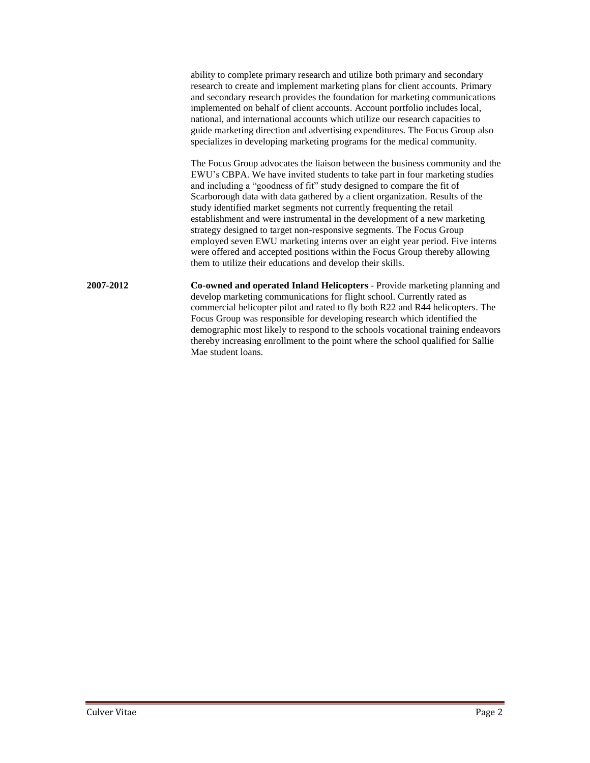ability to complete primary research and utilize both primary and secondary research to create and implement marketing plans for client accounts. Primary and secondary research provides the foundation for marketing communications implemented on behalf of client accounts. Account portfolio includes local, national, and international accounts which utilize our research capacities to guide marketing direction and advertising expenditures. The Focus Group also specializes in developing marketing programs for the medical community.

The Focus Group advocates the liaison between the business community and the EWU's CBPA. We have invited students to take part in four marketing studies and including a "goodness of fit" study designed to compare the fit of Scarborough data with data gathered by a client organization. Results of the study identified market segments not currently frequenting the retail establishment and were instrumental in the development of a new marketing strategy designed to target non-responsive segments. The Focus Group employed seven EWU marketing interns over an eight year period. Five interns were offered and accepted positions within the Focus Group thereby allowing them to utilize their educations and develop their skills.

**2007-2012 Co-owned and operated Inland Helicopters** - Provide marketing planning and develop marketing communications for flight school. Currently rated as commercial helicopter pilot and rated to fly both R22 and R44 helicopters. The Focus Group was responsible for developing research which identified the demographic most likely to respond to the schools vocational training endeavors thereby increasing enrollment to the point where the school qualified for Sallie Mae student loans.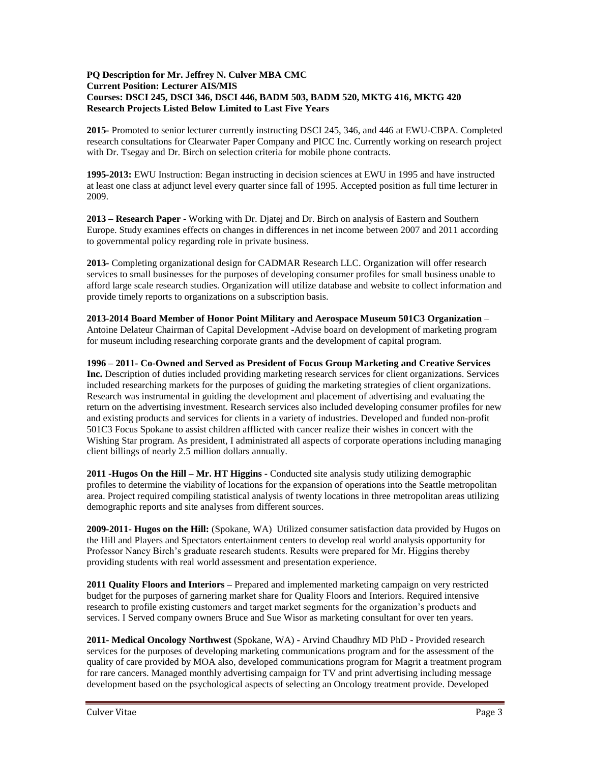## **PQ Description for Mr. Jeffrey N. Culver MBA CMC Current Position: Lecturer AIS/MIS Courses: DSCI 245, DSCI 346, DSCI 446, BADM 503, BADM 520, MKTG 416, MKTG 420 Research Projects Listed Below Limited to Last Five Years**

**2015-** Promoted to senior lecturer currently instructing DSCI 245, 346, and 446 at EWU-CBPA. Completed research consultations for Clearwater Paper Company and PICC Inc. Currently working on research project with Dr. Tsegay and Dr. Birch on selection criteria for mobile phone contracts.

**1995-2013:** EWU Instruction: Began instructing in decision sciences at EWU in 1995 and have instructed at least one class at adjunct level every quarter since fall of 1995. Accepted position as full time lecturer in 2009.

**2013 – Research Paper -** Working with Dr. Djatej and Dr. Birch on analysis of Eastern and Southern Europe. Study examines effects on changes in differences in net income between 2007 and 2011 according to governmental policy regarding role in private business.

**2013-** Completing organizational design for CADMAR Research LLC. Organization will offer research services to small businesses for the purposes of developing consumer profiles for small business unable to afford large scale research studies. Organization will utilize database and website to collect information and provide timely reports to organizations on a subscription basis.

**2013-2014 Board Member of Honor Point Military and Aerospace Museum 501C3 Organization** – Antoine Delateur Chairman of Capital Development -Advise board on development of marketing program for museum including researching corporate grants and the development of capital program.

**1996 – 2011- Co-Owned and Served as President of Focus Group Marketing and Creative Services Inc.** Description of duties included providing marketing research services for client organizations. Services included researching markets for the purposes of guiding the marketing strategies of client organizations. Research was instrumental in guiding the development and placement of advertising and evaluating the return on the advertising investment. Research services also included developing consumer profiles for new and existing products and services for clients in a variety of industries. Developed and funded non-profit 501C3 Focus Spokane to assist children afflicted with cancer realize their wishes in concert with the Wishing Star program. As president, I administrated all aspects of corporate operations including managing client billings of nearly 2.5 million dollars annually.

**2011 -Hugos On the Hill – Mr. HT Higgins -** Conducted site analysis study utilizing demographic profiles to determine the viability of locations for the expansion of operations into the Seattle metropolitan area. Project required compiling statistical analysis of twenty locations in three metropolitan areas utilizing demographic reports and site analyses from different sources.

**2009-2011- Hugos on the Hill:** (Spokane, WA) Utilized consumer satisfaction data provided by Hugos on the Hill and Players and Spectators entertainment centers to develop real world analysis opportunity for Professor Nancy Birch's graduate research students. Results were prepared for Mr. Higgins thereby providing students with real world assessment and presentation experience.

**2011 Quality Floors and Interiors –** Prepared and implemented marketing campaign on very restricted budget for the purposes of garnering market share for Quality Floors and Interiors. Required intensive research to profile existing customers and target market segments for the organization's products and services. I Served company owners Bruce and Sue Wisor as marketing consultant for over ten years.

**2011- Medical Oncology Northwest** (Spokane, WA) - Arvind Chaudhry MD PhD - Provided research services for the purposes of developing marketing communications program and for the assessment of the quality of care provided by MOA also, developed communications program for Magrit a treatment program for rare cancers. Managed monthly advertising campaign for TV and print advertising including message development based on the psychological aspects of selecting an Oncology treatment provide. Developed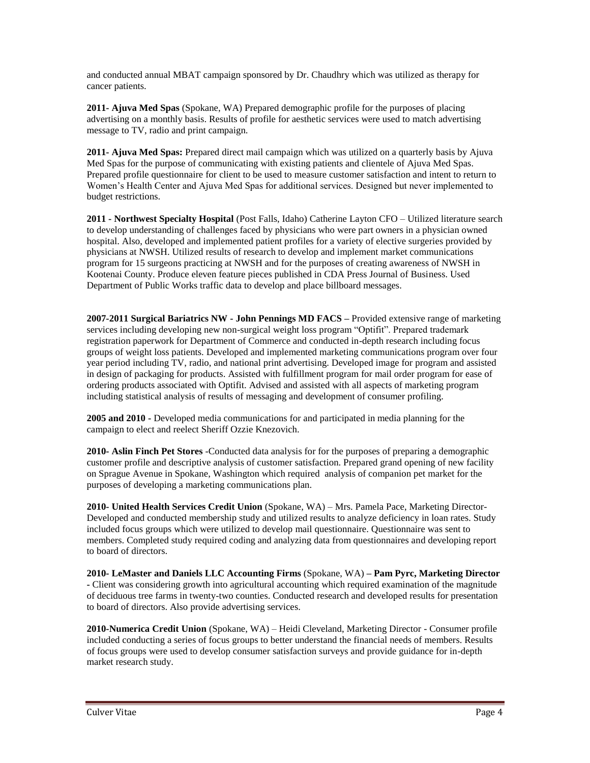and conducted annual MBAT campaign sponsored by Dr. Chaudhry which was utilized as therapy for cancer patients.

**2011- Ajuva Med Spas** (Spokane, WA) Prepared demographic profile for the purposes of placing advertising on a monthly basis. Results of profile for aesthetic services were used to match advertising message to TV, radio and print campaign.

**2011- Ajuva Med Spas:** Prepared direct mail campaign which was utilized on a quarterly basis by Ajuva Med Spas for the purpose of communicating with existing patients and clientele of Ajuva Med Spas. Prepared profile questionnaire for client to be used to measure customer satisfaction and intent to return to Women's Health Center and Ajuva Med Spas for additional services. Designed but never implemented to budget restrictions.

**2011 - Northwest Specialty Hospital** (Post Falls, Idaho) Catherine Layton CFO – Utilized literature search to develop understanding of challenges faced by physicians who were part owners in a physician owned hospital. Also, developed and implemented patient profiles for a variety of elective surgeries provided by physicians at NWSH. Utilized results of research to develop and implement market communications program for 15 surgeons practicing at NWSH and for the purposes of creating awareness of NWSH in Kootenai County. Produce eleven feature pieces published in CDA Press Journal of Business. Used Department of Public Works traffic data to develop and place billboard messages.

**2007-2011 Surgical Bariatrics NW - John Pennings MD FACS –** Provided extensive range of marketing services including developing new non-surgical weight loss program "Optifit". Prepared trademark registration paperwork for Department of Commerce and conducted in-depth research including focus groups of weight loss patients. Developed and implemented marketing communications program over four year period including TV, radio, and national print advertising. Developed image for program and assisted in design of packaging for products. Assisted with fulfillment program for mail order program for ease of ordering products associated with Optifit. Advised and assisted with all aspects of marketing program including statistical analysis of results of messaging and development of consumer profiling.

**2005 and 2010 -** Developed media communications for and participated in media planning for the campaign to elect and reelect Sheriff Ozzie Knezovich.

**2010- Aslin Finch Pet Stores** -Conducted data analysis for for the purposes of preparing a demographic customer profile and descriptive analysis of customer satisfaction. Prepared grand opening of new facility on Sprague Avenue in Spokane, Washington which required analysis of companion pet market for the purposes of developing a marketing communications plan.

**2010- United Health Services Credit Union** (Spokane, WA) – Mrs. Pamela Pace, Marketing Director-Developed and conducted membership study and utilized results to analyze deficiency in loan rates. Study included focus groups which were utilized to develop mail questionnaire. Questionnaire was sent to members. Completed study required coding and analyzing data from questionnaires and developing report to board of directors.

**2010- LeMaster and Daniels LLC Accounting Firms** (Spokane, WA) **– Pam Pyrc, Marketing Director -** Client was considering growth into agricultural accounting which required examination of the magnitude of deciduous tree farms in twenty-two counties. Conducted research and developed results for presentation to board of directors. Also provide advertising services.

**2010-Numerica Credit Union** (Spokane, WA) – Heidi Cleveland, Marketing Director - Consumer profile included conducting a series of focus groups to better understand the financial needs of members. Results of focus groups were used to develop consumer satisfaction surveys and provide guidance for in-depth market research study.